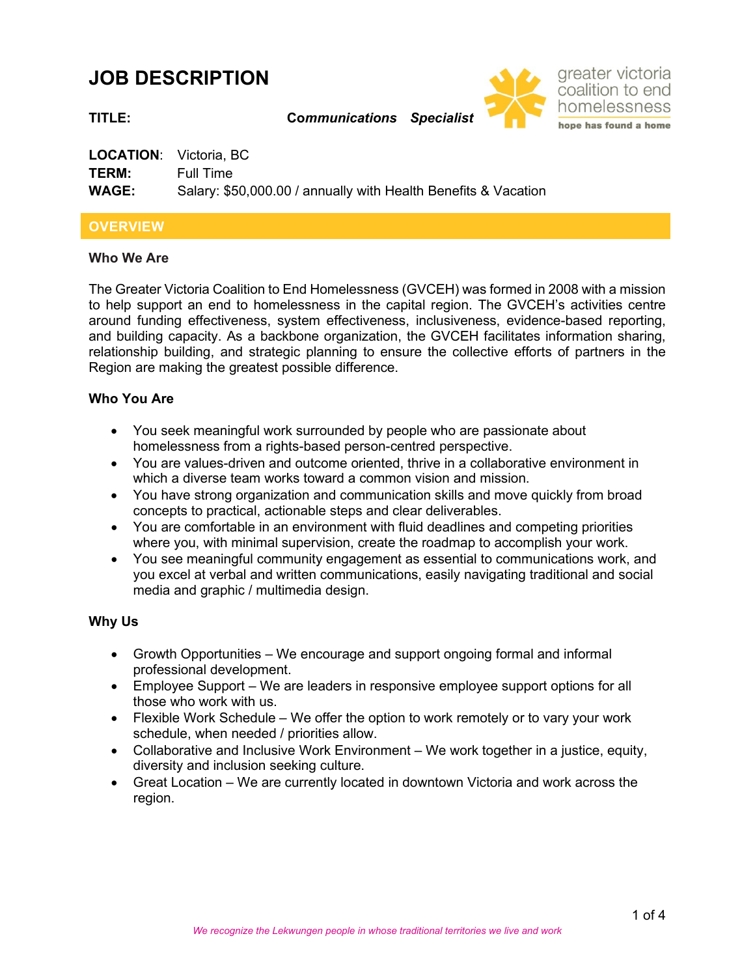# **JOB DESCRIPTION**



**TITLE: Co***mmunications Specialist*

| <b>LOCATION:</b> Victoria, BC |                                                                |
|-------------------------------|----------------------------------------------------------------|
| TERM:                         | Full Time                                                      |
| <b>WAGE:</b>                  | Salary: \$50,000.00 / annually with Health Benefits & Vacation |

# **OVERVIEW**

#### **Who We Are**

The Greater Victoria Coalition to End Homelessness (GVCEH) was formed in 2008 with a mission to help support an end to homelessness in the capital region. The GVCEH's activities centre around funding effectiveness, system effectiveness, inclusiveness, evidence-based reporting, and building capacity. As a backbone organization, the GVCEH facilitates information sharing, relationship building, and strategic planning to ensure the collective efforts of partners in the Region are making the greatest possible difference.

# **Who You Are**

- You seek meaningful work surrounded by people who are passionate about homelessness from a rights-based person-centred perspective.
- You are values-driven and outcome oriented, thrive in a collaborative environment in which a diverse team works toward a common vision and mission.
- You have strong organization and communication skills and move quickly from broad concepts to practical, actionable steps and clear deliverables.
- You are comfortable in an environment with fluid deadlines and competing priorities where you, with minimal supervision, create the roadmap to accomplish your work.
- You see meaningful community engagement as essential to communications work, and you excel at verbal and written communications, easily navigating traditional and social media and graphic / multimedia design.

# **Why Us**

- Growth Opportunities We encourage and support ongoing formal and informal professional development.
- Employee Support We are leaders in responsive employee support options for all those who work with us.
- Flexible Work Schedule We offer the option to work remotely or to vary your work schedule, when needed / priorities allow.
- Collaborative and Inclusive Work Environment We work together in a justice, equity, diversity and inclusion seeking culture.
- Great Location We are currently located in downtown Victoria and work across the region.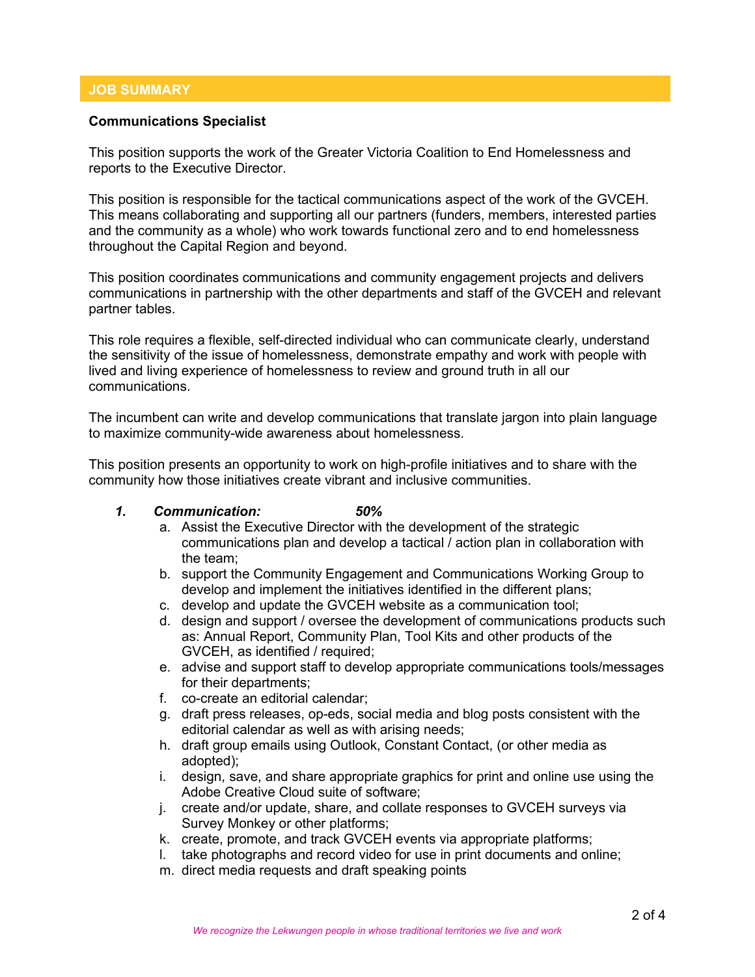### **JOB SUMMARY**

#### **Communications Specialist**

This position supports the work of the Greater Victoria Coalition to End Homelessness and reports to the Executive Director.

This position is responsible for the tactical communications aspect of the work of the GVCEH. This means collaborating and supporting all our partners (funders, members, interested parties and the community as a whole) who work towards functional zero and to end homelessness throughout the Capital Region and beyond.

This position coordinates communications and community engagement projects and delivers communications in partnership with the other departments and staff of the GVCEH and relevant partner tables.

This role requires a flexible, self-directed individual who can communicate clearly, understand the sensitivity of the issue of homelessness, demonstrate empathy and work with people with lived and living experience of homelessness to review and ground truth in all our communications.

The incumbent can write and develop communications that translate jargon into plain language to maximize community-wide awareness about homelessness.

This position presents an opportunity to work on high-profile initiatives and to share with the community how those initiatives create vibrant and inclusive communities.

- *1. Communication: 50%*
	- a. Assist the Executive Director with the development of the strategic communications plan and develop a tactical / action plan in collaboration with the team;
	- b. support the Community Engagement and Communications Working Group to develop and implement the initiatives identified in the different plans;
	- c. develop and update the GVCEH website as a communication tool;
	- d. design and support / oversee the development of communications products such as: Annual Report, Community Plan, Tool Kits and other products of the GVCEH, as identified / required;
	- e. advise and support staff to develop appropriate communications tools/messages for their departments;
	- f. co-create an editorial calendar;
	- g. draft press releases, op-eds, social media and blog posts consistent with the editorial calendar as well as with arising needs;
	- h. draft group emails using Outlook, Constant Contact, (or other media as adopted);
	- i. design, save, and share appropriate graphics for print and online use using the Adobe Creative Cloud suite of software;
	- j. create and/or update, share, and collate responses to GVCEH surveys via Survey Monkey or other platforms;
	- k. create, promote, and track GVCEH events via appropriate platforms;
	- l. take photographs and record video for use in print documents and online;
	- m. direct media requests and draft speaking points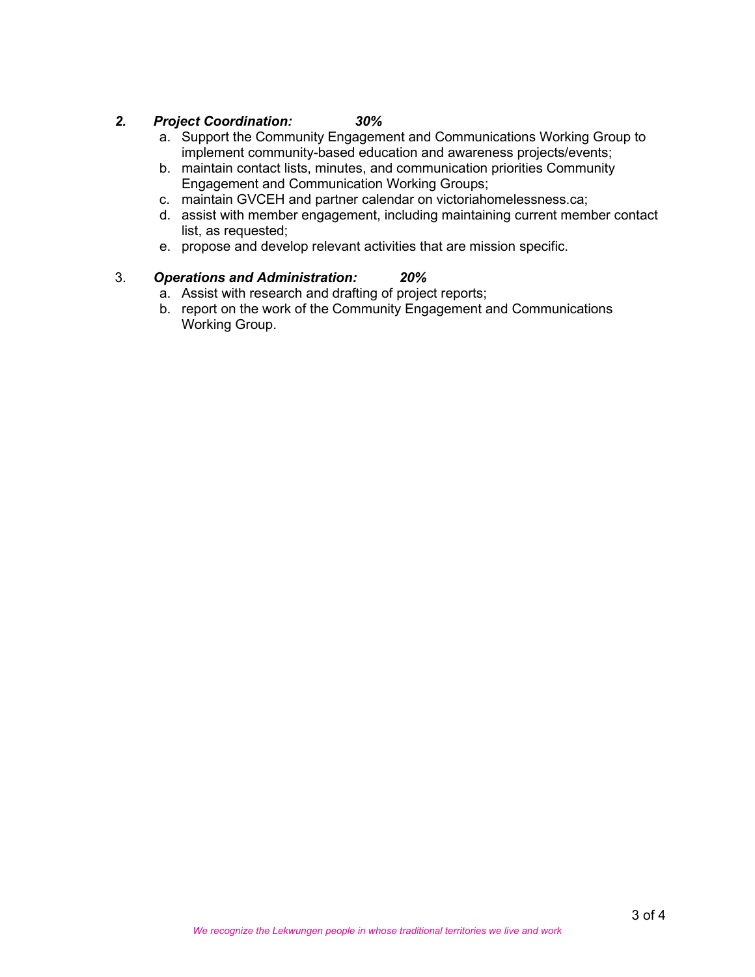# *2. Project Coordination: 30%*

- a. Support the Community Engagement and Communications Working Group to implement community-based education and awareness projects/events;
- b. maintain contact lists, minutes, and communication priorities Community Engagement and Communication Working Groups;
- c. maintain GVCEH and partner calendar on victoriahomelessness.ca;
- d. assist with member engagement, including maintaining current member contact list, as requested;
- e. propose and develop relevant activities that are mission specific.

#### 3. *Operations and Administration: 20%*

- a. Assist with research and drafting of project reports;
- b. report on the work of the Community Engagement and Communications Working Group.